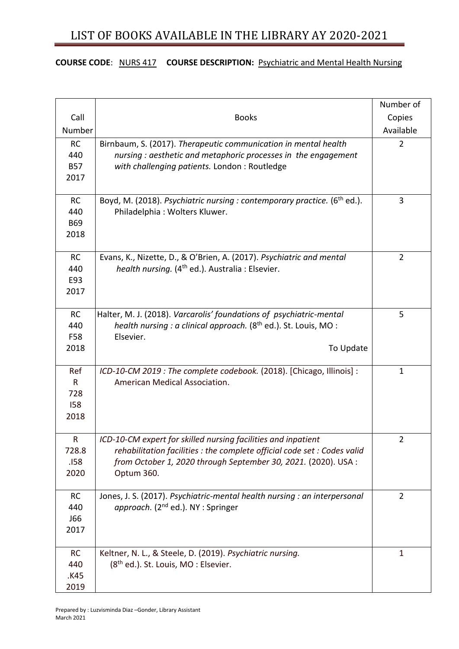### **COURSE CODE**: NURS 417 **COURSE DESCRIPTION:** Psychiatric and Mental Health Nursing

|                                        |                                                                                                                                                                                                                           | Number of      |
|----------------------------------------|---------------------------------------------------------------------------------------------------------------------------------------------------------------------------------------------------------------------------|----------------|
| Call                                   | <b>Books</b>                                                                                                                                                                                                              | Copies         |
| Number                                 |                                                                                                                                                                                                                           | Available      |
| <b>RC</b><br>440<br><b>B57</b><br>2017 | Birnbaum, S. (2017). Therapeutic communication in mental health<br>nursing: aesthetic and metaphoric processes in the engagement<br>with challenging patients. London: Routledge                                          | $\overline{2}$ |
| <b>RC</b><br>440<br><b>B69</b><br>2018 | Boyd, M. (2018). Psychiatric nursing : contemporary practice. (6 <sup>th</sup> ed.).<br>Philadelphia: Wolters Kluwer.                                                                                                     | 3              |
| <b>RC</b><br>440<br>E93<br>2017        | Evans, K., Nizette, D., & O'Brien, A. (2017). Psychiatric and mental<br>health nursing. (4 <sup>th</sup> ed.). Australia : Elsevier.                                                                                      | $\overline{2}$ |
| <b>RC</b><br>440<br>F58<br>2018        | Halter, M. J. (2018). Varcarolis' foundations of psychiatric-mental<br>health nursing : a clinical approach. (8 <sup>th</sup> ed.). St. Louis, MO :<br>Elsevier.<br>To Update                                             | 5              |
| Ref<br>R<br>728<br><b>I58</b><br>2018  | ICD-10-CM 2019 : The complete codebook. (2018). [Chicago, Illinois] :<br>American Medical Association.                                                                                                                    | $\mathbf 1$    |
| R<br>728.8<br>.158<br>2020             | ICD-10-CM expert for skilled nursing facilities and inpatient<br>rehabilitation facilities : the complete official code set : Codes valid<br>from October 1, 2020 through September 30, 2021. (2020). USA :<br>Optum 360. | 2              |
| <b>RC</b><br>440<br><b>J66</b><br>2017 | Jones, J. S. (2017). Psychiatric-mental health nursing : an interpersonal<br>approach. (2 <sup>nd</sup> ed.). NY : Springer                                                                                               | $\overline{2}$ |
| <b>RC</b><br>440<br>.K45<br>2019       | Keltner, N. L., & Steele, D. (2019). Psychiatric nursing.<br>(8 <sup>th</sup> ed.). St. Louis, MO: Elsevier.                                                                                                              | $\mathbf{1}$   |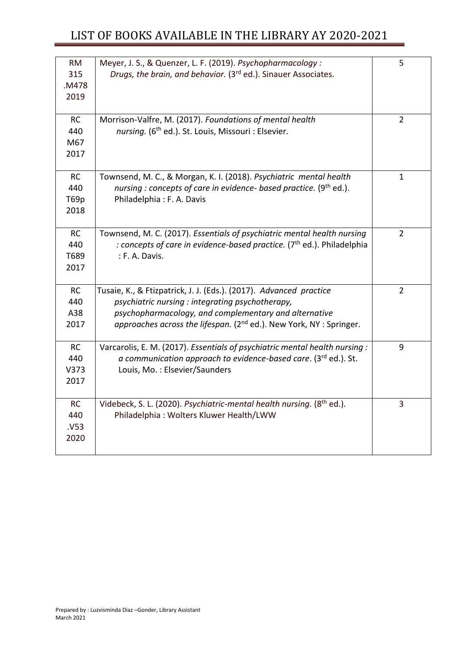| <b>RM</b><br>315 | Meyer, J. S., & Quenzer, L. F. (2019). Psychopharmacology:<br>Drugs, the brain, and behavior. (3rd ed.). Sinauer Associates. | 5              |
|------------------|------------------------------------------------------------------------------------------------------------------------------|----------------|
| .M478            |                                                                                                                              |                |
| 2019             |                                                                                                                              |                |
|                  |                                                                                                                              |                |
| <b>RC</b>        | Morrison-Valfre, M. (2017). Foundations of mental health                                                                     | $\overline{2}$ |
| 440              | nursing. (6 <sup>th</sup> ed.). St. Louis, Missouri : Elsevier.                                                              |                |
| M67              |                                                                                                                              |                |
| 2017             |                                                                                                                              |                |
|                  |                                                                                                                              |                |
| <b>RC</b>        | Townsend, M. C., & Morgan, K. I. (2018). Psychiatric mental health                                                           | $\mathbf{1}$   |
| 440              | nursing : concepts of care in evidence- based practice. $(9th$ ed.).                                                         |                |
| T69p             | Philadelphia: F. A. Davis                                                                                                    |                |
| 2018             |                                                                                                                              |                |
| <b>RC</b>        | Townsend, M. C. (2017). Essentials of psychiatric mental health nursing                                                      | $\overline{2}$ |
| 440              | : concepts of care in evidence-based practice. $(7th$ ed.). Philadelphia                                                     |                |
| T689             | : F. A. Davis.                                                                                                               |                |
| 2017             |                                                                                                                              |                |
|                  |                                                                                                                              |                |
| <b>RC</b>        | Tusaie, K., & Ftizpatrick, J. J. (Eds.). (2017). Advanced practice                                                           | $\overline{2}$ |
| 440              | psychiatric nursing : integrating psychotherapy,                                                                             |                |
| A38              | psychopharmacology, and complementary and alternative                                                                        |                |
| 2017             | approaches across the lifespan. (2 <sup>nd</sup> ed.). New York, NY : Springer.                                              |                |
|                  |                                                                                                                              |                |
| <b>RC</b>        | Varcarolis, E. M. (2017). Essentials of psychiatric mental health nursing :                                                  | 9              |
| 440              | a communication approach to evidence-based care. (3rd ed.). St.                                                              |                |
| V373             | Louis, Mo.: Elsevier/Saunders                                                                                                |                |
| 2017             |                                                                                                                              |                |
| <b>RC</b>        | Videbeck, S. L. (2020). Psychiatric-mental health nursing. (8 <sup>th</sup> ed.).                                            | 3              |
| 440              | Philadelphia: Wolters Kluwer Health/LWW                                                                                      |                |
| .V53             |                                                                                                                              |                |
| 2020             |                                                                                                                              |                |
|                  |                                                                                                                              |                |
|                  |                                                                                                                              |                |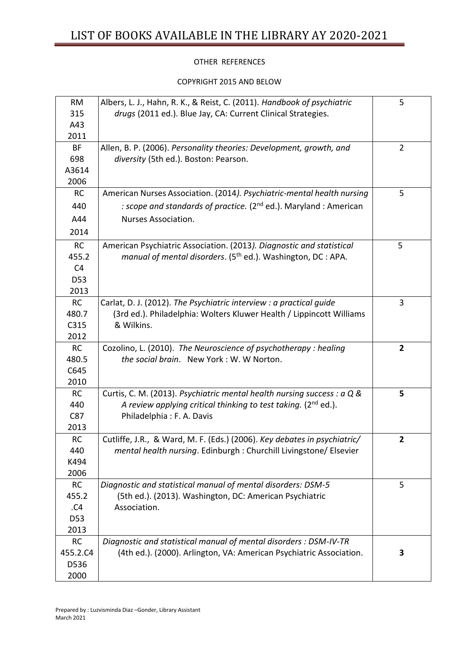### OTHER REFERENCES

#### COPYRIGHT 2015 AND BELOW

| <b>RM</b><br>315 | Albers, L. J., Hahn, R. K., & Reist, C. (2011). Handbook of psychiatric<br>drugs (2011 ed.). Blue Jay, CA: Current Clinical Strategies. | 5              |
|------------------|-----------------------------------------------------------------------------------------------------------------------------------------|----------------|
| A43              |                                                                                                                                         |                |
| 2011             |                                                                                                                                         |                |
| <b>BF</b>        | Allen, B. P. (2006). Personality theories: Development, growth, and                                                                     | $\overline{2}$ |
| 698              | diversity (5th ed.). Boston: Pearson.                                                                                                   |                |
| A3614            |                                                                                                                                         |                |
| 2006             |                                                                                                                                         |                |
| <b>RC</b>        | American Nurses Association. (2014). Psychiatric-mental health nursing                                                                  | 5              |
| 440              | : scope and standards of practice. (2 <sup>nd</sup> ed.). Maryland: American                                                            |                |
| A44              | Nurses Association.                                                                                                                     |                |
| 2014             |                                                                                                                                         |                |
| <b>RC</b>        | American Psychiatric Association. (2013). Diagnostic and statistical                                                                    | 5              |
| 455.2            | manual of mental disorders. $(5th$ ed.). Washington, DC : APA.                                                                          |                |
| C <sub>4</sub>   |                                                                                                                                         |                |
| D <sub>53</sub>  |                                                                                                                                         |                |
| 2013             |                                                                                                                                         |                |
| RC               | Carlat, D. J. (2012). The Psychiatric interview : a practical guide                                                                     | 3              |
| 480.7            | (3rd ed.). Philadelphia: Wolters Kluwer Health / Lippincott Williams                                                                    |                |
| C315             | & Wilkins.                                                                                                                              |                |
| 2012             |                                                                                                                                         |                |
| RC               | Cozolino, L. (2010). The Neuroscience of psychotherapy: healing                                                                         | $\overline{2}$ |
| 480.5            | the social brain. New York: W. W Norton.                                                                                                |                |
| C645             |                                                                                                                                         |                |
| 2010             |                                                                                                                                         |                |
| <b>RC</b>        | Curtis, C. M. (2013). Psychiatric mental health nursing success : a Q &                                                                 | 5              |
| 440              | A review applying critical thinking to test taking. ( $2^{nd}$ ed.).                                                                    |                |
| C87              | Philadelphia: F. A. Davis                                                                                                               |                |
| 2013             |                                                                                                                                         |                |
| RC               | Cutliffe, J.R., & Ward, M. F. (Eds.) (2006). Key debates in psychiatric/                                                                | 2              |
| 440<br>K494      | mental health nursing. Edinburgh : Churchill Livingstone/ Elsevier                                                                      |                |
| 2006             |                                                                                                                                         |                |
| <b>RC</b>        | Diagnostic and statistical manual of mental disorders: DSM-5                                                                            | 5              |
| 455.2            | (5th ed.). (2013). Washington, DC: American Psychiatric                                                                                 |                |
| .C4              | Association.                                                                                                                            |                |
| D53              |                                                                                                                                         |                |
| 2013             |                                                                                                                                         |                |
| <b>RC</b>        | Diagnostic and statistical manual of mental disorders : DSM-IV-TR                                                                       |                |
| 455.2.C4         | (4th ed.). (2000). Arlington, VA: American Psychiatric Association.                                                                     | 3              |
| D536             |                                                                                                                                         |                |
| 2000             |                                                                                                                                         |                |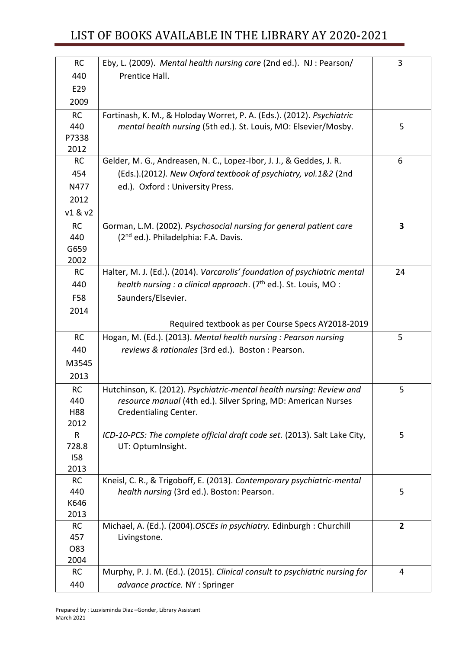| <b>RC</b>        | Eby, L. (2009). Mental health nursing care (2nd ed.). NJ: Pearson/                                                                    | 3              |
|------------------|---------------------------------------------------------------------------------------------------------------------------------------|----------------|
| 440              | Prentice Hall.                                                                                                                        |                |
| E29              |                                                                                                                                       |                |
| 2009             |                                                                                                                                       |                |
| <b>RC</b>        | Fortinash, K. M., & Holoday Worret, P. A. (Eds.). (2012). Psychiatric                                                                 |                |
| 440              | mental health nursing (5th ed.). St. Louis, MO: Elsevier/Mosby.                                                                       | 5              |
| P7338            |                                                                                                                                       |                |
| 2012             |                                                                                                                                       |                |
| <b>RC</b>        | Gelder, M. G., Andreasen, N. C., Lopez-Ibor, J. J., & Geddes, J. R.                                                                   | 6              |
| 454              | (Eds.).(2012). New Oxford textbook of psychiatry, vol.1&2 (2nd                                                                        |                |
| N477             | ed.). Oxford : University Press.                                                                                                      |                |
| 2012             |                                                                                                                                       |                |
| v1 & v2          |                                                                                                                                       |                |
| <b>RC</b>        | Gorman, L.M. (2002). Psychosocial nursing for general patient care                                                                    | 3              |
| 440              | (2 <sup>nd</sup> ed.). Philadelphia: F.A. Davis.                                                                                      |                |
| G659             |                                                                                                                                       |                |
| 2002             |                                                                                                                                       |                |
| <b>RC</b>        | Halter, M. J. (Ed.). (2014). Varcarolis' foundation of psychiatric mental                                                             | 24             |
| 440              | health nursing : a clinical approach. $(7th$ ed.). St. Louis, MO :                                                                    |                |
| F58              | Saunders/Elsevier.                                                                                                                    |                |
| 2014             |                                                                                                                                       |                |
|                  | Required textbook as per Course Specs AY2018-2019                                                                                     |                |
| <b>RC</b>        | Hogan, M. (Ed.). (2013). Mental health nursing: Pearson nursing                                                                       | 5              |
| 440              | reviews & rationales (3rd ed.). Boston : Pearson.                                                                                     |                |
| M3545            |                                                                                                                                       |                |
| 2013             |                                                                                                                                       |                |
|                  |                                                                                                                                       |                |
| <b>RC</b><br>440 | Hutchinson, K. (2012). Psychiatric-mental health nursing: Review and<br>resource manual (4th ed.). Silver Spring, MD: American Nurses | 5              |
| H88              | Credentialing Center.                                                                                                                 |                |
| 2012             |                                                                                                                                       |                |
| R                | ICD-10-PCS: The complete official draft code set. (2013). Salt Lake City,                                                             | 5              |
| 728.8            | UT: OptumInsight.                                                                                                                     |                |
| 158              |                                                                                                                                       |                |
| 2013             |                                                                                                                                       |                |
| <b>RC</b>        | Kneisl, C. R., & Trigoboff, E. (2013). Contemporary psychiatric-mental                                                                |                |
| 440              | health nursing (3rd ed.). Boston: Pearson.                                                                                            | 5              |
| K646             |                                                                                                                                       |                |
| 2013             |                                                                                                                                       |                |
| <b>RC</b>        | Michael, A. (Ed.). (2004).OSCEs in psychiatry. Edinburgh : Churchill                                                                  | $\mathbf{2}$   |
| 457              | Livingstone.                                                                                                                          |                |
| O83              |                                                                                                                                       |                |
| 2004             |                                                                                                                                       | $\overline{4}$ |
| <b>RC</b>        | Murphy, P. J. M. (Ed.). (2015). Clinical consult to psychiatric nursing for                                                           |                |
| 440              | advance practice. NY : Springer                                                                                                       |                |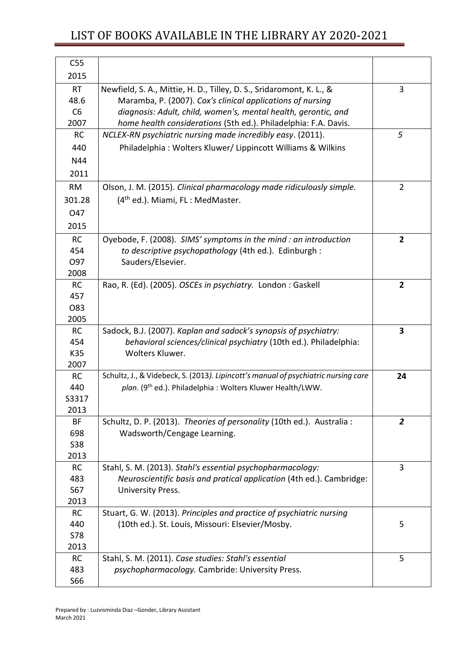| C55<br>2015       |                                                                                                      |                |
|-------------------|------------------------------------------------------------------------------------------------------|----------------|
| <b>RT</b>         | Newfield, S. A., Mittie, H. D., Tilley, D. S., Sridaromont, K. L., &                                 | 3              |
| 48.6              | Maramba, P. (2007). Cox's clinical applications of nursing                                           |                |
| C6                | diagnosis: Adult, child, women's, mental health, gerontic, and                                       |                |
| 2007              | home health considerations (5th ed.). Philadelphia: F.A. Davis.                                      |                |
| <b>RC</b>         | NCLEX-RN psychiatric nursing made incredibly easy. (2011).                                           | 5              |
| 440               | Philadelphia: Wolters Kluwer/ Lippincott Williams & Wilkins                                          |                |
| N44               |                                                                                                      |                |
| 2011              |                                                                                                      |                |
| <b>RM</b>         | Olson, J. M. (2015). Clinical pharmacology made ridiculously simple.                                 | $\overline{2}$ |
| 301.28            | (4 <sup>th</sup> ed.). Miami, FL: MedMaster.                                                         |                |
|                   |                                                                                                      |                |
| O47               |                                                                                                      |                |
| 2015              |                                                                                                      |                |
| <b>RC</b>         | Oyebode, F. (2008). SIMS' symptoms in the mind: an introduction                                      | $\overline{2}$ |
| 454               | to descriptive psychopathology (4th ed.). Edinburgh :                                                |                |
| 097<br>2008       | Sauders/Elsevier.                                                                                    |                |
| <b>RC</b>         | Rao, R. (Ed). (2005). OSCEs in psychiatry. London: Gaskell                                           | $\mathbf{2}$   |
| 457               |                                                                                                      |                |
| 083               |                                                                                                      |                |
| 2005              |                                                                                                      |                |
| <b>RC</b>         | Sadock, B.J. (2007). Kaplan and sadock's synopsis of psychiatry:                                     | 3              |
| 454               | behavioral sciences/clinical psychiatry (10th ed.). Philadelphia:                                    |                |
| K35               | Wolters Kluwer.                                                                                      |                |
| 2007              |                                                                                                      |                |
| <b>RC</b>         | Schultz, J., & Videbeck, S. (2013). Lipincott's manual of psychiatric nursing care                   | 24             |
| 440               | plan. (9th ed.). Philadelphia: Wolters Kluwer Health/LWW.                                            |                |
| S3317             |                                                                                                      |                |
| 2013<br><b>BF</b> |                                                                                                      | $\overline{2}$ |
| 698               | Schultz, D. P. (2013). Theories of personality (10th ed.). Australia:<br>Wadsworth/Cengage Learning. |                |
| <b>S38</b>        |                                                                                                      |                |
| 2013              |                                                                                                      |                |
| <b>RC</b>         | Stahl, S. M. (2013). Stahl's essential psychopharmacology:                                           | 3              |
| 483               | Neuroscientific basis and pratical application (4th ed.). Cambridge:                                 |                |
| S67               | University Press.                                                                                    |                |
| 2013              |                                                                                                      |                |
| <b>RC</b>         | Stuart, G. W. (2013). Principles and practice of psychiatric nursing                                 |                |
| 440               | (10th ed.). St. Louis, Missouri: Elsevier/Mosby.                                                     | 5              |
| <b>S78</b>        |                                                                                                      |                |
| 2013              |                                                                                                      |                |
| <b>RC</b>         | Stahl, S. M. (2011). Case studies: Stahl's essential                                                 | 5              |
| 483               | psychopharmacology. Cambride: University Press.                                                      |                |
| S66               |                                                                                                      |                |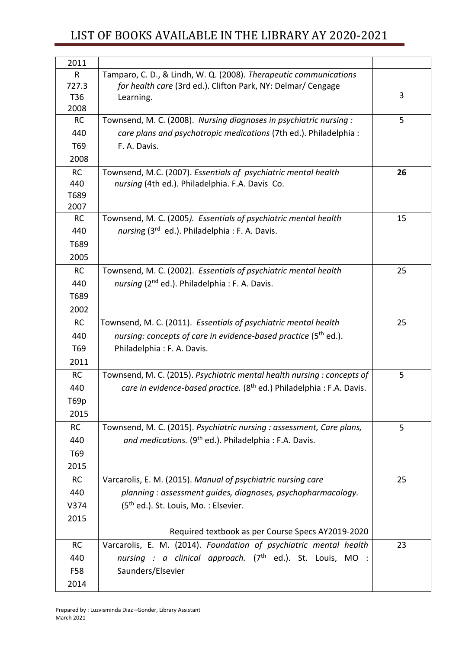| 2011         |                                                                                   |    |
|--------------|-----------------------------------------------------------------------------------|----|
| $\mathsf{R}$ | Tamparo, C. D., & Lindh, W. Q. (2008). Therapeutic communications                 |    |
| 727.3        | for health care (3rd ed.). Clifton Park, NY: Delmar/ Cengage                      |    |
| T36          | Learning.                                                                         | 3  |
| 2008         |                                                                                   |    |
| RC           | Townsend, M. C. (2008). Nursing diagnoses in psychiatric nursing:                 | 5  |
| 440          | care plans and psychotropic medications (7th ed.). Philadelphia :                 |    |
| T69          | F. A. Davis.                                                                      |    |
| 2008         |                                                                                   |    |
| <b>RC</b>    | Townsend, M.C. (2007). Essentials of psychiatric mental health                    | 26 |
| 440          | nursing (4th ed.). Philadelphia. F.A. Davis Co.                                   |    |
| T689         |                                                                                   |    |
| 2007         |                                                                                   |    |
| <b>RC</b>    | Townsend, M. C. (2005). Essentials of psychiatric mental health                   | 15 |
| 440          | nursing (3rd ed.). Philadelphia : F. A. Davis.                                    |    |
| T689         |                                                                                   |    |
| 2005         |                                                                                   |    |
| RC           | Townsend, M. C. (2002). Essentials of psychiatric mental health                   | 25 |
| 440          | nursing (2 <sup>nd</sup> ed.). Philadelphia : F. A. Davis.                        |    |
| T689         |                                                                                   |    |
| 2002         |                                                                                   |    |
| <b>RC</b>    | Townsend, M. C. (2011). Essentials of psychiatric mental health                   | 25 |
| 440          | nursing: concepts of care in evidence-based practice (5 <sup>th</sup> ed.).       |    |
| T69          | Philadelphia: F. A. Davis.                                                        |    |
| 2011         |                                                                                   |    |
|              |                                                                                   |    |
| <b>RC</b>    | Townsend, M. C. (2015). Psychiatric mental health nursing: concepts of            | 5  |
| 440          | care in evidence-based practice. (8 <sup>th</sup> ed.) Philadelphia : F.A. Davis. |    |
| T69p         |                                                                                   |    |
| 2015         |                                                                                   |    |
| <b>RC</b>    | Townsend, M. C. (2015). Psychiatric nursing : assessment, Care plans,             | 5  |
| 440          | and medications. (9 <sup>th</sup> ed.). Philadelphia: F.A. Davis.                 |    |
| T69          |                                                                                   |    |
| 2015         |                                                                                   |    |
| <b>RC</b>    | Varcarolis, E. M. (2015). Manual of psychiatric nursing care                      | 25 |
| 440          | planning: assessment guides, diagnoses, psychopharmacology.                       |    |
| V374         | (5 <sup>th</sup> ed.). St. Louis, Mo.: Elsevier.                                  |    |
| 2015         |                                                                                   |    |
|              | Required textbook as per Course Specs AY2019-2020                                 |    |
| <b>RC</b>    | Varcarolis, E. M. (2014). Foundation of psychiatric mental health                 | 23 |
| 440          | nursing : a clinical approach. (7 <sup>th</sup> ed.). St. Louis, MO :             |    |
|              |                                                                                   |    |
| F58          | Saunders/Elsevier                                                                 |    |
| 2014         |                                                                                   |    |